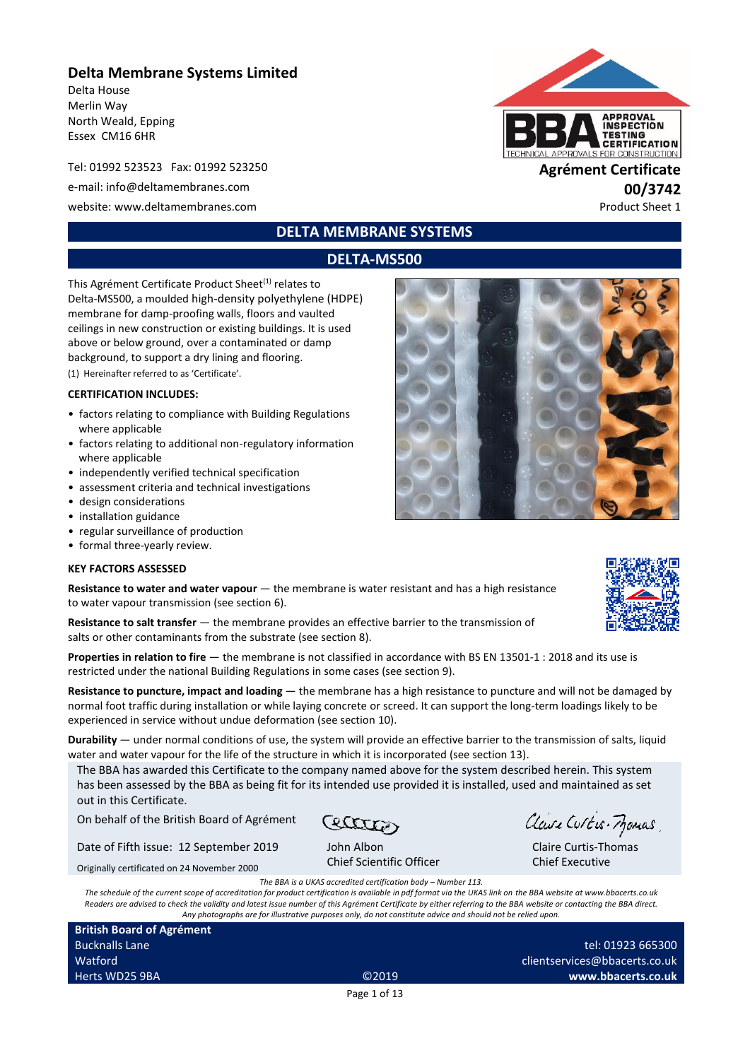## **Delta Membrane Systems Limited**

Delta House Merlin Way North Weald, Epping Essex CM16 6HR

Tel: 01992 523523 Fax: 01992 523250 **Agrément Certificate**

e-mail: info@deltamembranes.com **00/3742**

website: www.deltamembranes.com example and the example of the example of the example of the example of the example of the example of the example of the example of the example of the example of the example of the example o



## **DELTA MEMBRANE SYSTEMS**

## **DELTA-MS500**

This Agrément Certificate Product Sheet<sup>(1)</sup> relates to Delta-MS500, a moulded high-density polyethylene (HDPE) membrane for damp-proofing walls, floors and vaulted ceilings in new construction or existing buildings. It is used above or below ground, over a contaminated or damp background, to support a dry lining and flooring. (1) Hereinafter referred to as 'Certificate'.

#### **CERTIFICATION INCLUDES:**

- factors relating to compliance with Building Regulations where applicable
- factors relating to additional non-regulatory information where applicable
- independently verified technical specification
- assessment criteria and technical investigations
- design considerations
- installation guidance
- regular surveillance of production
- formal three-yearly review.

#### **KEY FACTORS ASSESSED**

|                                               | <b>Resistance to water and water vapour</b> — the membrane is water resistant and has a high resistance |
|-----------------------------------------------|---------------------------------------------------------------------------------------------------------|
| to water vapour transmission (see section 6). |                                                                                                         |

**Resistance to salt transfer** — the membrane provides an effective barrier to the transmission of salts or other contaminants from the substrate (see section 8).

**Properties in relation to fire** — the membrane is not classified in accordance with BS EN 13501-1 : 2018 and its use is restricted under the national Building Regulations in some cases (see section 9).

**Resistance to puncture, impact and loading** — the membrane has a high resistance to puncture and will not be damaged by normal foot traffic during installation or while laying concrete or screed. It can support the long-term loadings likely to be experienced in service without undue deformation (see section 10).

**Durability** — under normal conditions of use, the system will provide an effective barrier to the transmission of salts, liquid water and water vapour for the life of the structure in which it is incorporated (see section 13).

The BBA has awarded this Certificate to the company named above for the system described herein. This system has been assessed by the BBA as being fit for its intended use provided it is installed, used and maintained as set out in this Certificate.

On behalf of the British Board of Agrément

Date of Fifth issue: 12 September 2019

Originally certificated on 24 November 2000

John Albon Chief Scientific Officer

Claire Curtis-Momas

Claire Curtis-Thomas Chief Executive

*The BBA is a UKAS accredited certification body – Number 113.*

*The schedule of the current scope of accreditation for product certification is available in pdf format via the UKAS link on the BBA website at www.bbacerts.co.uk Readers are advised to check the validity and latest issue number of this Agrément Certificate by either referring to the BBA website or contacting the BBA direct. Any photographs are for illustrative purposes only, do not constitute advice and should not be relied upon.*

Page 1 of 13

**British Board of Agrément** Bucknalls Lane Watford Herts WD25 9BA ©2019



tel: 01923 665300 clientservices@bbacerts.co.uk

**www.bbacerts.co.uk**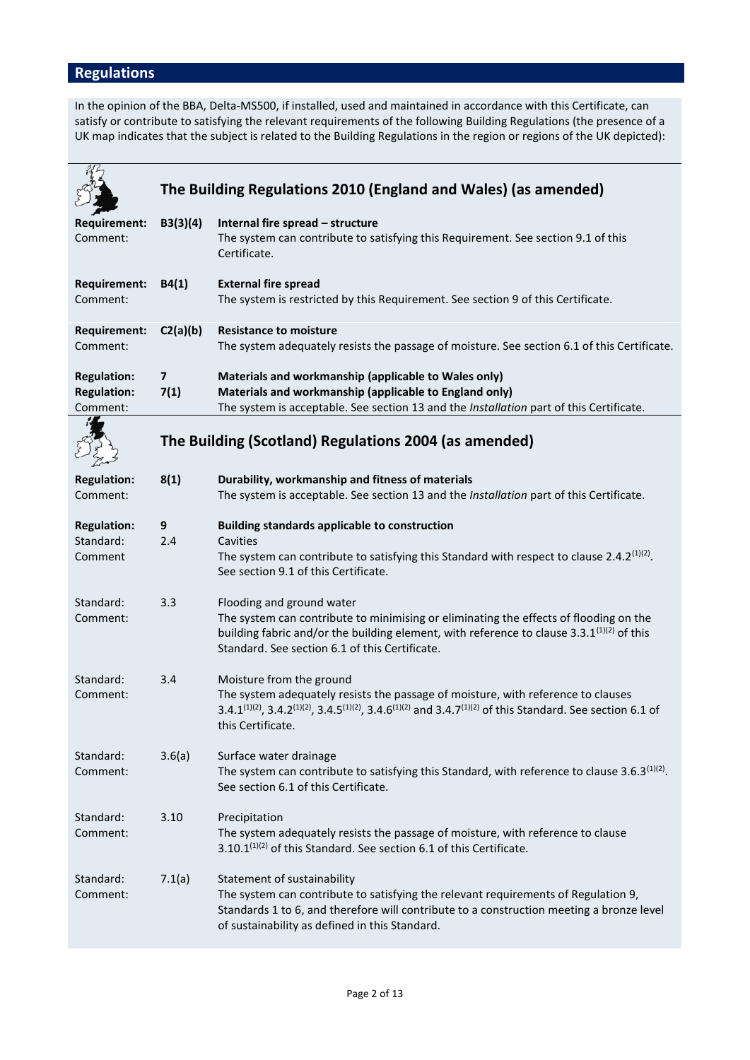# **Regulations**

In the opinion of the BBA, Delta-MS500, if installed, used and maintained in accordance with this Certificate, can satisfy or contribute to satisfying the relevant requirements of the following Building Regulations (the presence of a UK map indicates that the subject is related to the Building Regulations in the region or regions of the UK depicted):

|                                                      |                                 | The Building Regulations 2010 (England and Wales) (as amended)                                                                                                                                                                                                                                              |
|------------------------------------------------------|---------------------------------|-------------------------------------------------------------------------------------------------------------------------------------------------------------------------------------------------------------------------------------------------------------------------------------------------------------|
| <b>Requirement:</b><br>Comment:                      | B3(3)(4)                        | Internal fire spread - structure<br>The system can contribute to satisfying this Requirement. See section 9.1 of this<br>Certificate.                                                                                                                                                                       |
| <b>Requirement:</b><br>Comment:                      | B4(1)                           | <b>External fire spread</b><br>The system is restricted by this Requirement. See section 9 of this Certificate.                                                                                                                                                                                             |
| Requirement:<br>Comment:                             | C2(a)(b)                        | <b>Resistance to moisture</b><br>The system adequately resists the passage of moisture. See section 6.1 of this Certificate.                                                                                                                                                                                |
| <b>Regulation:</b><br><b>Regulation:</b><br>Comment: | $\overline{\mathbf{z}}$<br>7(1) | Materials and workmanship (applicable to Wales only)<br>Materials and workmanship (applicable to England only)<br>The system is acceptable. See section 13 and the Installation part of this Certificate.                                                                                                   |
|                                                      |                                 | The Building (Scotland) Regulations 2004 (as amended)                                                                                                                                                                                                                                                       |
| <b>Regulation:</b><br>Comment:                       | 8(1)                            | Durability, workmanship and fitness of materials<br>The system is acceptable. See section 13 and the Installation part of this Certificate.                                                                                                                                                                 |
| <b>Regulation:</b><br>Standard:<br>Comment           | 9<br>2.4                        | <b>Building standards applicable to construction</b><br>Cavities<br>The system can contribute to satisfying this Standard with respect to clause 2.4.2 $(1)(2)$ .<br>See section 9.1 of this Certificate.                                                                                                   |
| Standard:<br>Comment:                                | 3.3                             | Flooding and ground water<br>The system can contribute to minimising or eliminating the effects of flooding on the<br>building fabric and/or the building element, with reference to clause 3.3.1 <sup>(1)(2)</sup> of this<br>Standard. See section 6.1 of this Certificate.                               |
| Standard:<br>Comment:                                | 3.4                             | Moisture from the ground<br>The system adequately resists the passage of moisture, with reference to clauses<br>3.4.1 <sup>(1)(2)</sup> , 3.4.2 <sup>(1)(2)</sup> , 3.4.5 <sup>(1)(2)</sup> , 3.4.6 <sup>(1)(2)</sup> and 3.4.7 <sup>(1)(2)</sup> of this Standard. See section 6.1 of<br>this Certificate. |
| Standard:<br>Comment:                                | 3.6(a)                          | Surface water drainage<br>The system can contribute to satisfying this Standard, with reference to clause 3.6.3 <sup>(1)(2)</sup> .<br>See section 6.1 of this Certificate.                                                                                                                                 |
| Standard:<br>Comment:                                | 3.10                            | Precipitation<br>The system adequately resists the passage of moisture, with reference to clause<br>3.10.1 <sup>(1)(2)</sup> of this Standard. See section 6.1 of this Certificate.                                                                                                                         |
| Standard:<br>Comment:                                | 7.1(a)                          | Statement of sustainability<br>The system can contribute to satisfying the relevant requirements of Regulation 9,<br>Standards 1 to 6, and therefore will contribute to a construction meeting a bronze level<br>of sustainability as defined in this Standard.                                             |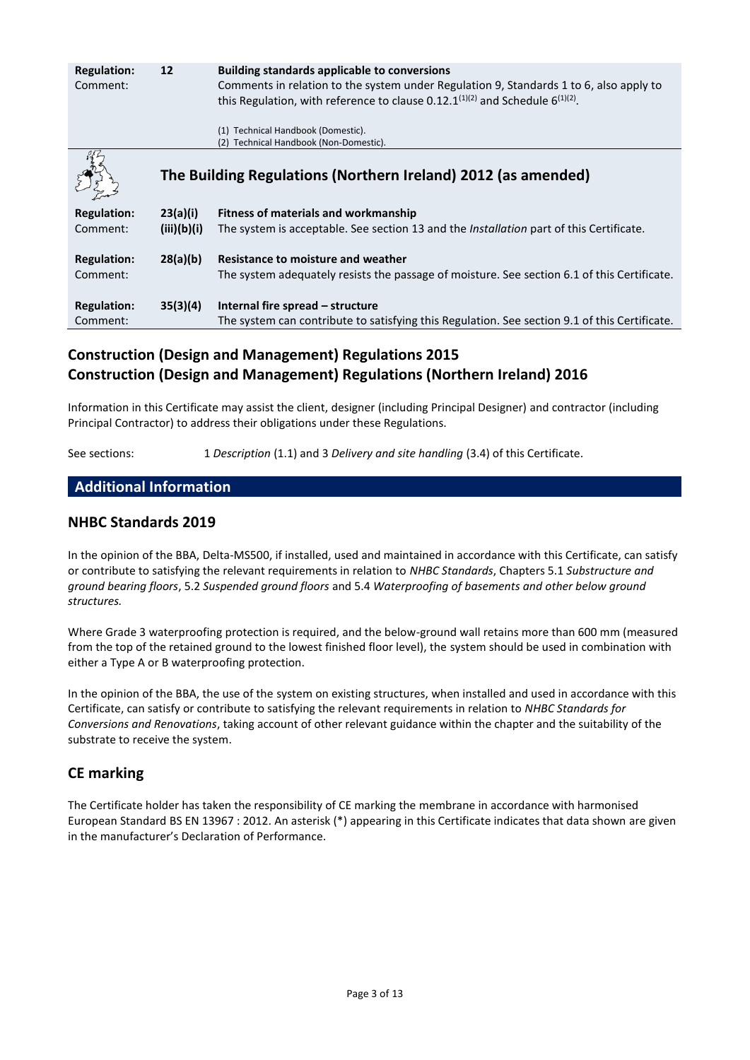| <b>Regulation:</b><br>Comment: | 12          | <b>Building standards applicable to conversions</b><br>Comments in relation to the system under Regulation 9, Standards 1 to 6, also apply to<br>this Regulation, with reference to clause 0.12.1 $(1)(2)$ and Schedule 6 $(1)(2)$ . |
|--------------------------------|-------------|--------------------------------------------------------------------------------------------------------------------------------------------------------------------------------------------------------------------------------------|
|                                |             | (1) Technical Handbook (Domestic).                                                                                                                                                                                                   |
|                                |             | Technical Handbook (Non-Domestic).<br>(2)                                                                                                                                                                                            |
|                                |             | The Building Regulations (Northern Ireland) 2012 (as amended)                                                                                                                                                                        |
| <b>Regulation:</b>             | 23(a)(i)    | <b>Fitness of materials and workmanship</b>                                                                                                                                                                                          |
| Comment:                       | (iii)(b)(i) | The system is acceptable. See section 13 and the <i>Installation</i> part of this Certificate.                                                                                                                                       |
| <b>Regulation:</b>             | 28(a)(b)    | Resistance to moisture and weather                                                                                                                                                                                                   |
| Comment:                       |             | The system adequately resists the passage of moisture. See section 6.1 of this Certificate.                                                                                                                                          |
| <b>Regulation:</b>             | 35(3)(4)    | Internal fire spread – structure                                                                                                                                                                                                     |
| Comment:                       |             | The system can contribute to satisfying this Regulation. See section 9.1 of this Certificate.                                                                                                                                        |

# **Construction (Design and Management) Regulations 2015 Construction (Design and Management) Regulations (Northern Ireland) 2016**

Information in this Certificate may assist the client, designer (including Principal Designer) and contractor (including Principal Contractor) to address their obligations under these Regulations.

See sections: 1 *Description* (1.1) and 3 *Delivery and site handling* (3.4) of this Certificate.

## **Additional Information**

#### **NHBC Standards 2019**

In the opinion of the BBA, Delta-MS500, if installed, used and maintained in accordance with this Certificate, can satisfy or contribute to satisfying the relevant requirements in relation to *NHBC Standards*, Chapters 5.1 *Substructure and ground bearing floors*, 5.2 *Suspended ground floors* and 5.4 *Waterproofing of basements and other below ground structures.*

Where Grade 3 waterproofing protection is required, and the below-ground wall retains more than 600 mm (measured from the top of the retained ground to the lowest finished floor level), the system should be used in combination with either a Type A or B waterproofing protection.

In the opinion of the BBA, the use of the system on existing structures, when installed and used in accordance with this Certificate, can satisfy or contribute to satisfying the relevant requirements in relation to *NHBC Standards for Conversions and Renovations*, taking account of other relevant guidance within the chapter and the suitability of the substrate to receive the system.

#### **CE marking**

The Certificate holder has taken the responsibility of CE marking the membrane in accordance with harmonised European Standard BS EN 13967 : 2012. An asterisk (\*) appearing in this Certificate indicates that data shown are given in the manufacturer's Declaration of Performance.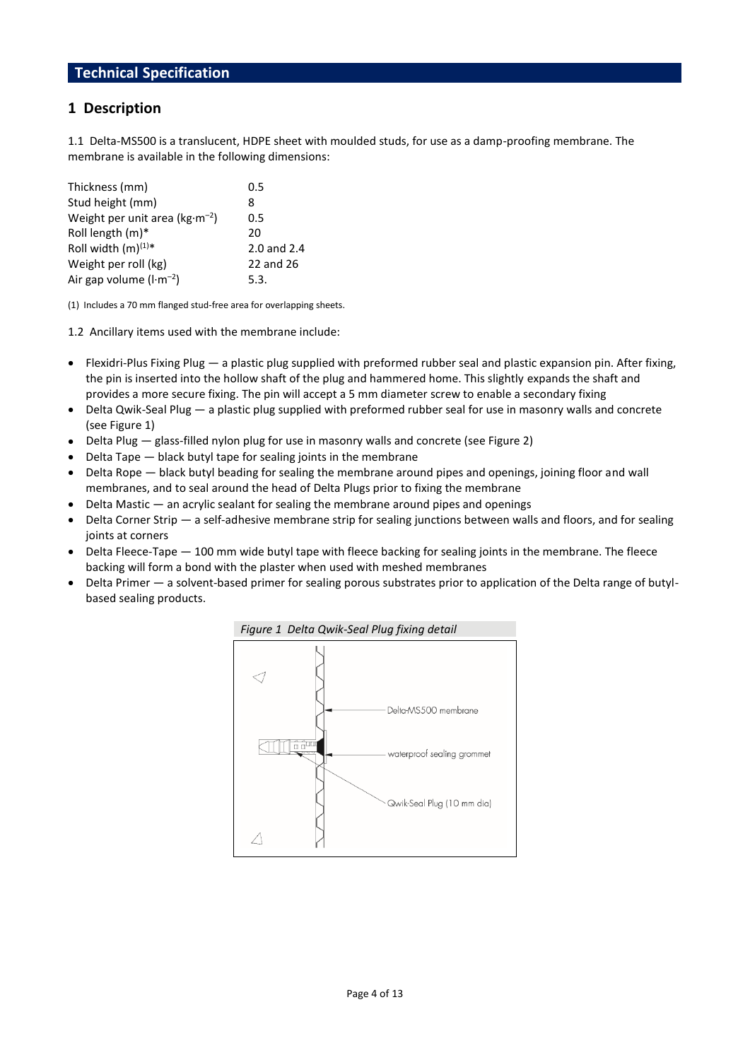## **1 Description**

1.1 Delta-MS500 is a translucent, HDPE sheet with moulded studs, for use as a damp-proofing membrane. The membrane is available in the following dimensions:

| Thickness (mm)                    | 0.5         |
|-----------------------------------|-------------|
| Stud height (mm)                  | 8           |
| Weight per unit area ( $kg·m-2$ ) | 0.5         |
| Roll length $(m)^*$               | 20          |
| Roll width $(m)^{(1)*}$           | 2.0 and 2.4 |
| Weight per roll (kg)              | 22 and 26   |
| Air gap volume $(l \cdot m^{-2})$ | 5.3.        |

(1) Includes a 70 mm flanged stud-free area for overlapping sheets.

1.2 Ancillary items used with the membrane include:

- $\bullet$  Flexidri-Plus Fixing Plug a plastic plug supplied with preformed rubber seal and plastic expansion pin. After fixing, the pin is inserted into the hollow shaft of the plug and hammered home. This slightly expands the shaft and provides a more secure fixing. The pin will accept a 5 mm diameter screw to enable a secondary fixing
- Delta Qwik-Seal Plug a plastic plug supplied with preformed rubber seal for use in masonry walls and concrete (see Figure 1)
- Delta Plug glass-filled nylon plug for use in masonry walls and concrete (see Figure 2)
- Delta Tape black butyl tape for sealing joints in the membrane
- Delta Rope black butyl beading for sealing the membrane around pipes and openings, joining floor and wall membranes, and to seal around the head of Delta Plugs prior to fixing the membrane
- $\bullet$  Delta Mastic  $-$  an acrylic sealant for sealing the membrane around pipes and openings
- Delta Corner Strip a self-adhesive membrane strip for sealing junctions between walls and floors, and for sealing joints at corners
- Delta Fleece-Tape 100 mm wide butyl tape with fleece backing for sealing joints in the membrane. The fleece backing will form a bond with the plaster when used with meshed membranes
- Delta Primer a solvent-based primer for sealing porous substrates prior to application of the Delta range of butylbased sealing products.

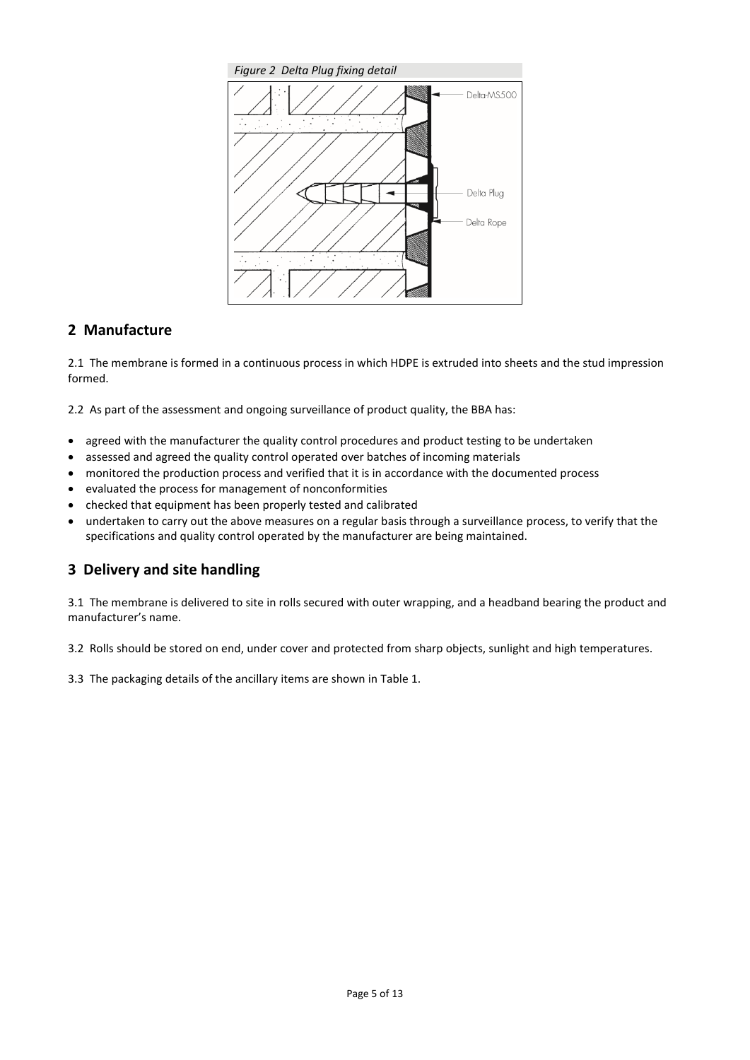

## **2 Manufacture**

2.1 The membrane is formed in a continuous process in which HDPE is extruded into sheets and the stud impression formed.

2.2 As part of the assessment and ongoing surveillance of product quality, the BBA has:

- agreed with the manufacturer the quality control procedures and product testing to be undertaken
- assessed and agreed the quality control operated over batches of incoming materials
- monitored the production process and verified that it is in accordance with the documented process
- evaluated the process for management of nonconformities
- checked that equipment has been properly tested and calibrated
- undertaken to carry out the above measures on a regular basis through a surveillance process, to verify that the specifications and quality control operated by the manufacturer are being maintained.

## **3 Delivery and site handling**

3.1 The membrane is delivered to site in rolls secured with outer wrapping, and a headband bearing the product and manufacturer's name.

3.2 Rolls should be stored on end, under cover and protected from sharp objects, sunlight and high temperatures.

3.3 The packaging details of the ancillary items are shown in Table 1.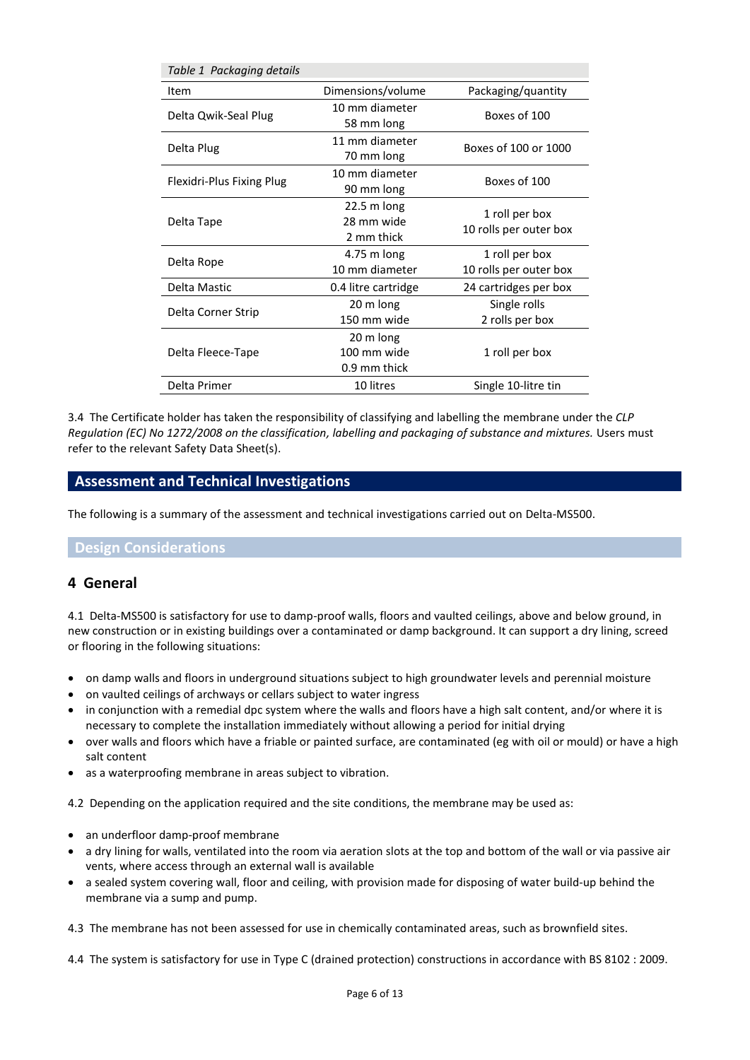| Table 1 Packaging details |                                           |                                          |
|---------------------------|-------------------------------------------|------------------------------------------|
| Item                      | Dimensions/volume                         | Packaging/quantity                       |
| Delta Qwik-Seal Plug      | 10 mm diameter<br>58 mm long              | Boxes of 100                             |
| Delta Plug                | 11 mm diameter<br>70 mm long              | Boxes of 100 or 1000                     |
| Flexidri-Plus Fixing Plug | 10 mm diameter<br>90 mm long              | Boxes of 100                             |
| Delta Tape                | $22.5$ m long<br>28 mm wide<br>2 mm thick | 1 roll per box<br>10 rolls per outer box |
| Delta Rope                | 4.75 m long<br>10 mm diameter             | 1 roll per box<br>10 rolls per outer box |
| Delta Mastic              | 0.4 litre cartridge                       | 24 cartridges per box                    |
| Delta Corner Strip        | 20 m long<br>150 mm wide                  | Single rolls<br>2 rolls per box          |
| Delta Fleece-Tape         | 20 m long<br>100 mm wide<br>0.9 mm thick  | 1 roll per box                           |
| Delta Primer              | 10 litres                                 | Single 10-litre tin                      |

3.4 The Certificate holder has taken the responsibility of classifying and labelling the membrane under the *CLP Regulation (EC) No 1272/2008 on the classification, labelling and packaging of substance and mixtures.* Users must refer to the relevant Safety Data Sheet(s).

## **Assessment and Technical Investigations**

The following is a summary of the assessment and technical investigations carried out on Delta-MS500.

#### **Design Considerations**

#### **4 General**

4.1 Delta-MS500 is satisfactory for use to damp-proof walls, floors and vaulted ceilings, above and below ground, in new construction or in existing buildings over a contaminated or damp background. It can support a dry lining, screed or flooring in the following situations:

- on damp walls and floors in underground situations subject to high groundwater levels and perennial moisture
- on vaulted ceilings of archways or cellars subject to water ingress
- in conjunction with a remedial dpc system where the walls and floors have a high salt content, and/or where it is necessary to complete the installation immediately without allowing a period for initial drying
- over walls and floors which have a friable or painted surface, are contaminated (eg with oil or mould) or have a high salt content
- as a waterproofing membrane in areas subject to vibration.

4.2 Depending on the application required and the site conditions, the membrane may be used as:

- an underfloor damp-proof membrane
- a dry lining for walls, ventilated into the room via aeration slots at the top and bottom of the wall or via passive air vents, where access through an external wall is available
- a sealed system covering wall, floor and ceiling, with provision made for disposing of water build-up behind the membrane via a sump and pump.

4.3 The membrane has not been assessed for use in chemically contaminated areas, such as brownfield sites.

4.4 The system is satisfactory for use in Type C (drained protection) constructions in accordance with BS 8102 : 2009.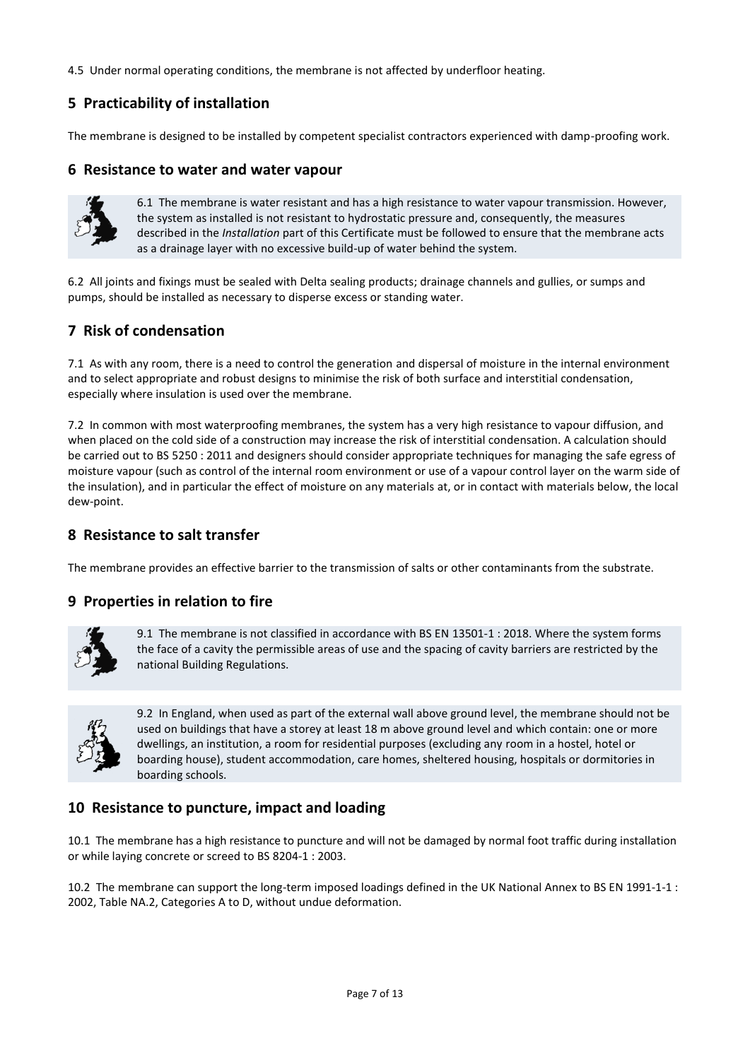4.5 Under normal operating conditions, the membrane is not affected by underfloor heating.

## **5 Practicability of installation**

The membrane is designed to be installed by competent specialist contractors experienced with damp-proofing work.

### **6 Resistance to water and water vapour**



6.1 The membrane is water resistant and has a high resistance to water vapour transmission. However, the system as installed is not resistant to hydrostatic pressure and, consequently, the measures described in the *Installation* part of this Certificate must be followed to ensure that the membrane acts as a drainage layer with no excessive build-up of water behind the system.

6.2 All joints and fixings must be sealed with Delta sealing products; drainage channels and gullies, or sumps and pumps, should be installed as necessary to disperse excess or standing water.

## **7 Risk of condensation**

7.1 As with any room, there is a need to control the generation and dispersal of moisture in the internal environment and to select appropriate and robust designs to minimise the risk of both surface and interstitial condensation, especially where insulation is used over the membrane.

7.2 In common with most waterproofing membranes, the system has a very high resistance to vapour diffusion, and when placed on the cold side of a construction may increase the risk of interstitial condensation. A calculation should be carried out to BS 5250 : 2011 and designers should consider appropriate techniques for managing the safe egress of moisture vapour (such as control of the internal room environment or use of a vapour control layer on the warm side of the insulation), and in particular the effect of moisture on any materials at, or in contact with materials below, the local dew-point.

### **8 Resistance to salt transfer**

The membrane provides an effective barrier to the transmission of salts or other contaminants from the substrate.

#### **9 Properties in relation to fire**



9.1 The membrane is not classified in accordance with BS EN 13501-1 : 2018. Where the system forms the face of a cavity the permissible areas of use and the spacing of cavity barriers are restricted by the national Building Regulations.



9.2In England, when used as part of the external wall above ground level, the membrane should not be used on buildings that have a storey at least 18 m above ground level and which contain: one or more dwellings, an institution, a room for residential purposes (excluding any room in a hostel, hotel or boarding house), student accommodation, care homes, sheltered housing, hospitals or dormitories in boarding schools.

## **10 Resistance to puncture, impact and loading**

10.1 The membrane has a high resistance to puncture and will not be damaged by normal foot traffic during installation or while laying concrete or screed to BS 8204-1 : 2003.

10.2 The membrane can support the long-term imposed loadings defined in the UK National Annex to BS EN 1991-1-1 : 2002, Table NA.2, Categories A to D, without undue deformation.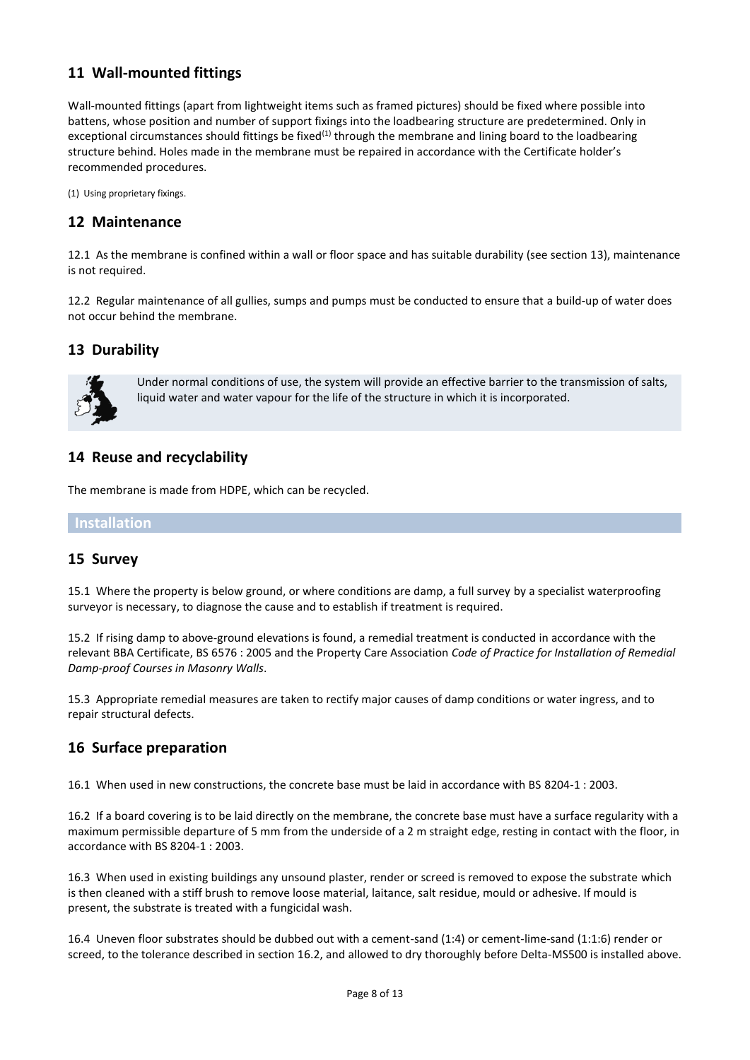## **11 Wall-mounted fittings**

Wall-mounted fittings (apart from lightweight items such as framed pictures) should be fixed where possible into battens, whose position and number of support fixings into the loadbearing structure are predetermined. Only in exceptional circumstances should fittings be fixed<sup>(1)</sup> through the membrane and lining board to the loadbearing structure behind. Holes made in the membrane must be repaired in accordance with the Certificate holder's recommended procedures.

(1) Using proprietary fixings.

## **12 Maintenance**

12.1 As the membrane is confined within a wall or floor space and has suitable durability (see section 13), maintenance is not required.

12.2 Regular maintenance of all gullies, sumps and pumps must be conducted to ensure that a build-up of water does not occur behind the membrane.

## **13 Durability**



Under normal conditions of use, the system will provide an effective barrier to the transmission of salts, liquid water and water vapour for the life of the structure in which it is incorporated.

#### **14 Reuse and recyclability**

The membrane is made from HDPE, which can be recycled.

**Installation**

#### **15 Survey**

15.1 Where the property is below ground, or where conditions are damp, a full survey by a specialist waterproofing surveyor is necessary, to diagnose the cause and to establish if treatment is required.

15.2 If rising damp to above-ground elevations is found, a remedial treatment is conducted in accordance with the relevant BBA Certificate, BS 6576 : 2005 and the Property Care Association *Code of Practice for Installation of Remedial Damp-proof Courses in Masonry Walls*.

15.3 Appropriate remedial measures are taken to rectify major causes of damp conditions or water ingress, and to repair structural defects.

#### **16 Surface preparation**

16.1 When used in new constructions, the concrete base must be laid in accordance with BS 8204-1 : 2003.

16.2 If a board covering is to be laid directly on the membrane, the concrete base must have a surface regularity with a maximum permissible departure of 5 mm from the underside of a 2 m straight edge, resting in contact with the floor, in accordance with BS 8204-1 : 2003.

16.3 When used in existing buildings any unsound plaster, render or screed is removed to expose the substrate which is then cleaned with a stiff brush to remove loose material, laitance, salt residue, mould or adhesive. If mould is present, the substrate is treated with a fungicidal wash.

16.4 Uneven floor substrates should be dubbed out with a cement-sand (1:4) or cement-lime-sand (1:1:6) render or screed, to the tolerance described in section 16.2, and allowed to dry thoroughly before Delta-MS500 is installed above.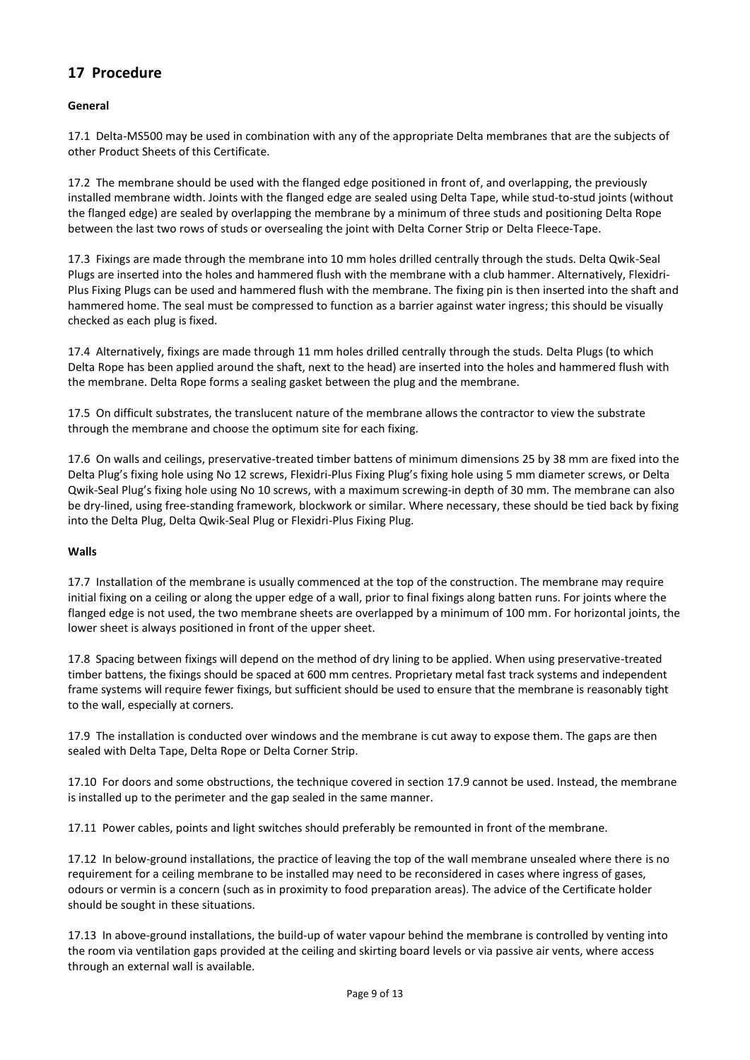## **17 Procedure**

#### **General**

17.1 Delta-MS500 may be used in combination with any of the appropriate Delta membranes that are the subjects of other Product Sheets of this Certificate.

17.2 The membrane should be used with the flanged edge positioned in front of, and overlapping, the previously installed membrane width. Joints with the flanged edge are sealed using Delta Tape, while stud-to-stud joints (without the flanged edge) are sealed by overlapping the membrane by a minimum of three studs and positioning Delta Rope between the last two rows of studs or oversealing the joint with Delta Corner Strip or Delta Fleece-Tape.

17.3 Fixings are made through the membrane into 10 mm holes drilled centrally through the studs. Delta Qwik-Seal Plugs are inserted into the holes and hammered flush with the membrane with a club hammer. Alternatively, Flexidri-Plus Fixing Plugs can be used and hammered flush with the membrane. The fixing pin is then inserted into the shaft and hammered home. The seal must be compressed to function as a barrier against water ingress; this should be visually checked as each plug is fixed.

17.4 Alternatively, fixings are made through 11 mm holes drilled centrally through the studs. Delta Plugs (to which Delta Rope has been applied around the shaft, next to the head) are inserted into the holes and hammered flush with the membrane. Delta Rope forms a sealing gasket between the plug and the membrane.

17.5 On difficult substrates, the translucent nature of the membrane allows the contractor to view the substrate through the membrane and choose the optimum site for each fixing.

17.6 On walls and ceilings, preservative-treated timber battens of minimum dimensions 25 by 38 mm are fixed into the Delta Plug's fixing hole using No 12 screws, Flexidri-Plus Fixing Plug's fixing hole using 5 mm diameter screws, or Delta Qwik-Seal Plug's fixing hole using No 10 screws, with a maximum screwing-in depth of 30 mm. The membrane can also be dry-lined, using free-standing framework, blockwork or similar. Where necessary, these should be tied back by fixing into the Delta Plug, Delta Qwik-Seal Plug or Flexidri-Plus Fixing Plug.

#### **Walls**

17.7 Installation of the membrane is usually commenced at the top of the construction. The membrane may require initial fixing on a ceiling or along the upper edge of a wall, prior to final fixings along batten runs. For joints where the flanged edge is not used, the two membrane sheets are overlapped by a minimum of 100 mm. For horizontal joints, the lower sheet is always positioned in front of the upper sheet.

17.8 Spacing between fixings will depend on the method of dry lining to be applied. When using preservative-treated timber battens, the fixings should be spaced at 600 mm centres. Proprietary metal fast track systems and independent frame systems will require fewer fixings, but sufficient should be used to ensure that the membrane is reasonably tight to the wall, especially at corners.

17.9 The installation is conducted over windows and the membrane is cut away to expose them. The gaps are then sealed with Delta Tape, Delta Rope or Delta Corner Strip.

17.10 For doors and some obstructions, the technique covered in section 17.9 cannot be used. Instead, the membrane is installed up to the perimeter and the gap sealed in the same manner.

17.11 Power cables, points and light switches should preferably be remounted in front of the membrane.

17.12 In below-ground installations, the practice of leaving the top of the wall membrane unsealed where there is no requirement for a ceiling membrane to be installed may need to be reconsidered in cases where ingress of gases, odours or vermin is a concern (such as in proximity to food preparation areas). The advice of the Certificate holder should be sought in these situations.

17.13 In above-ground installations, the build-up of water vapour behind the membrane is controlled by venting into the room via ventilation gaps provided at the ceiling and skirting board levels or via passive air vents, where access through an external wall is available.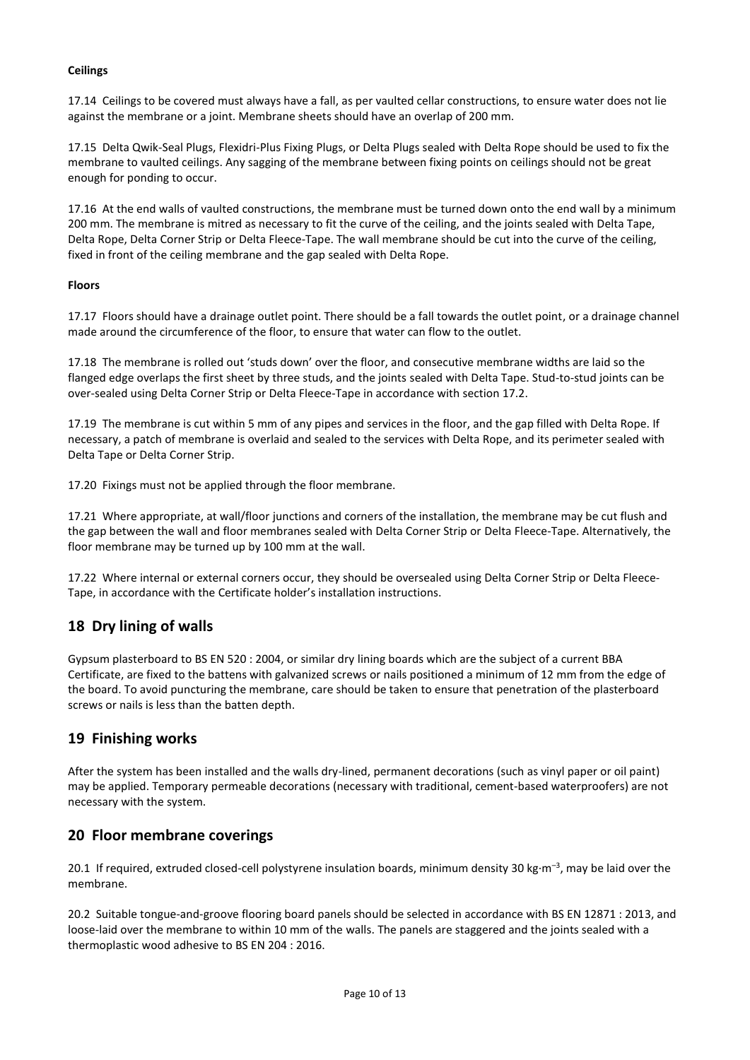#### **Ceilings**

17.14 Ceilings to be covered must always have a fall, as per vaulted cellar constructions, to ensure water does not lie against the membrane or a joint. Membrane sheets should have an overlap of 200 mm.

17.15 Delta Qwik-Seal Plugs, Flexidri-Plus Fixing Plugs, or Delta Plugs sealed with Delta Rope should be used to fix the membrane to vaulted ceilings. Any sagging of the membrane between fixing points on ceilings should not be great enough for ponding to occur.

17.16 At the end walls of vaulted constructions, the membrane must be turned down onto the end wall by a minimum 200 mm. The membrane is mitred as necessary to fit the curve of the ceiling, and the joints sealed with Delta Tape, Delta Rope, Delta Corner Strip or Delta Fleece-Tape. The wall membrane should be cut into the curve of the ceiling, fixed in front of the ceiling membrane and the gap sealed with Delta Rope.

#### **Floors**

17.17 Floors should have a drainage outlet point. There should be a fall towards the outlet point, or a drainage channel made around the circumference of the floor, to ensure that water can flow to the outlet.

17.18 The membrane is rolled out 'studs down' over the floor, and consecutive membrane widths are laid so the flanged edge overlaps the first sheet by three studs, and the joints sealed with Delta Tape. Stud-to-stud joints can be over-sealed using Delta Corner Strip or Delta Fleece-Tape in accordance with section 17.2.

17.19 The membrane is cut within 5 mm of any pipes and services in the floor, and the gap filled with Delta Rope. If necessary, a patch of membrane is overlaid and sealed to the services with Delta Rope, and its perimeter sealed with Delta Tape or Delta Corner Strip.

17.20 Fixings must not be applied through the floor membrane.

17.21 Where appropriate, at wall/floor junctions and corners of the installation, the membrane may be cut flush and the gap between the wall and floor membranes sealed with Delta Corner Strip or Delta Fleece-Tape. Alternatively, the floor membrane may be turned up by 100 mm at the wall.

17.22 Where internal or external corners occur, they should be oversealed using Delta Corner Strip or Delta Fleece-Tape, in accordance with the Certificate holder's installation instructions.

## **18 Dry lining of walls**

Gypsum plasterboard to BS EN 520 : 2004, or similar dry lining boards which are the subject of a current BBA Certificate, are fixed to the battens with galvanized screws or nails positioned a minimum of 12 mm from the edge of the board. To avoid puncturing the membrane, care should be taken to ensure that penetration of the plasterboard screws or nails is less than the batten depth.

#### **19 Finishing works**

After the system has been installed and the walls dry-lined, permanent decorations (such as vinyl paper or oil paint) may be applied. Temporary permeable decorations (necessary with traditional, cement-based waterproofers) are not necessary with the system.

#### **20 Floor membrane coverings**

20.1 If required, extruded closed-cell polystyrene insulation boards, minimum density 30 kg·m<sup>-3</sup>, may be laid over the membrane.

20.2 Suitable tongue-and-groove flooring board panels should be selected in accordance with BS EN 12871 : 2013, and loose-laid over the membrane to within 10 mm of the walls. The panels are staggered and the joints sealed with a thermoplastic wood adhesive to BS EN 204 : 2016.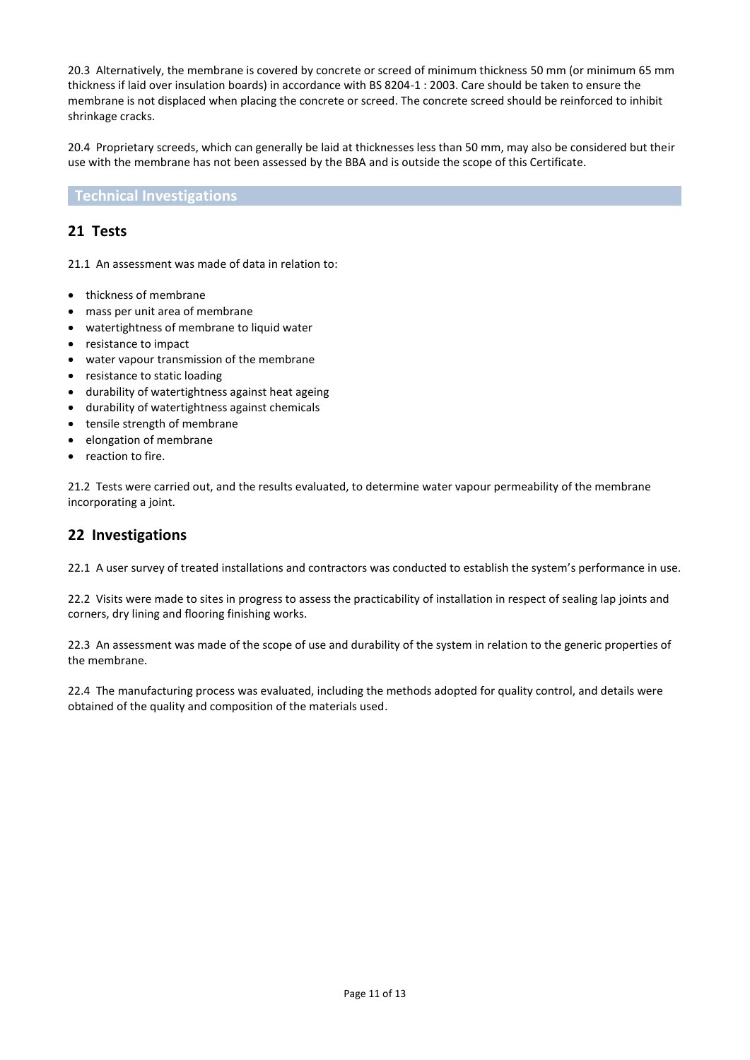20.3 Alternatively, the membrane is covered by concrete or screed of minimum thickness 50 mm (or minimum 65 mm thickness if laid over insulation boards) in accordance with BS 8204-1 : 2003. Care should be taken to ensure the membrane is not displaced when placing the concrete or screed. The concrete screed should be reinforced to inhibit shrinkage cracks.

20.4 Proprietary screeds, which can generally be laid at thicknesses less than 50 mm, may also be considered but their use with the membrane has not been assessed by the BBA and is outside the scope of this Certificate.

**Technical Investigations**

#### **21 Tests**

21.1 An assessment was made of data in relation to:

- thickness of membrane
- mass per unit area of membrane
- watertightness of membrane to liquid water
- resistance to impact
- water vapour transmission of the membrane
- resistance to static loading
- durability of watertightness against heat ageing
- durability of watertightness against chemicals
- tensile strength of membrane
- elongation of membrane
- reaction to fire.

21.2 Tests were carried out, and the results evaluated, to determine water vapour permeability of the membrane incorporating a joint.

## **22 Investigations**

22.1 A user survey of treated installations and contractors was conducted to establish the system's performance in use.

22.2 Visits were made to sites in progress to assess the practicability of installation in respect of sealing lap joints and corners, dry lining and flooring finishing works.

22.3 An assessment was made of the scope of use and durability of the system in relation to the generic properties of the membrane.

22.4 The manufacturing process was evaluated, including the methods adopted for quality control, and details were obtained of the quality and composition of the materials used.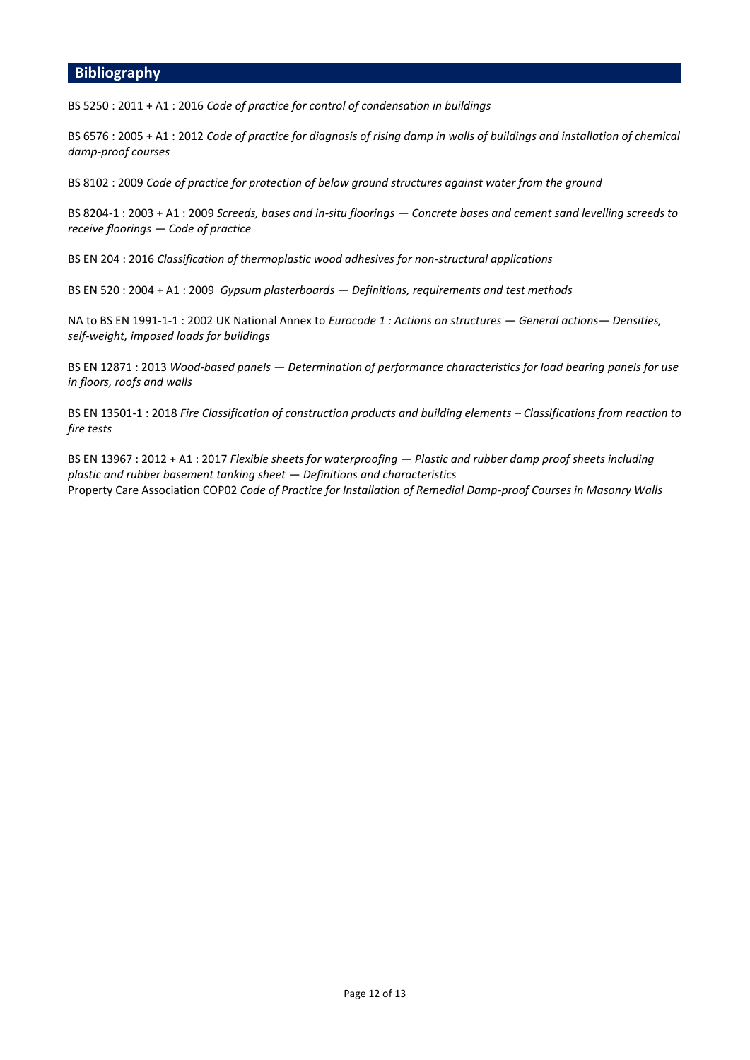#### **Bibliography**

BS 5250 : 2011 + A1 : 2016 *Code of practice for control of condensation in buildings*

BS 6576 : 2005 + A1 : 2012 *Code of practice for diagnosis of rising damp in walls of buildings and installation of chemical damp-proof courses*

BS 8102 : 2009 *Code of practice for protection of below ground structures against water from the ground*

BS 8204-1 : 2003 + A1 : 2009 *Screeds, bases and in-situ floorings — Concrete bases and cement sand levelling screeds to receive floorings — Code of practice*

BS EN 204 : 2016 *Classification of thermoplastic wood adhesives for non-structural applications*

BS EN 520 : 2004 + A1 : 2009 *Gypsum plasterboards — Definitions, requirements and test methods*

NA to BS EN 1991-1-1 : 2002 UK National Annex to *Eurocode 1 : Actions on structures — General actions— Densities, self-weight, imposed loads for buildings*

BS EN 12871 : 2013 *Wood-based panels — Determination of performance characteristics for load bearing panels for use in floors, roofs and walls*

BS EN 13501-1 : 2018 Fire Classification of construction products and building elements - Classifications from reaction to *fire tests* 

BS EN 13967 : 2012 + A1 : 2017 *Flexible sheets for waterproofing — Plastic and rubber damp proof sheets including plastic and rubber basement tanking sheet — Definitions and characteristics*  Property Care Association COP02 *Code of Practice for Installation of Remedial Damp-proof Courses in Masonry Walls*